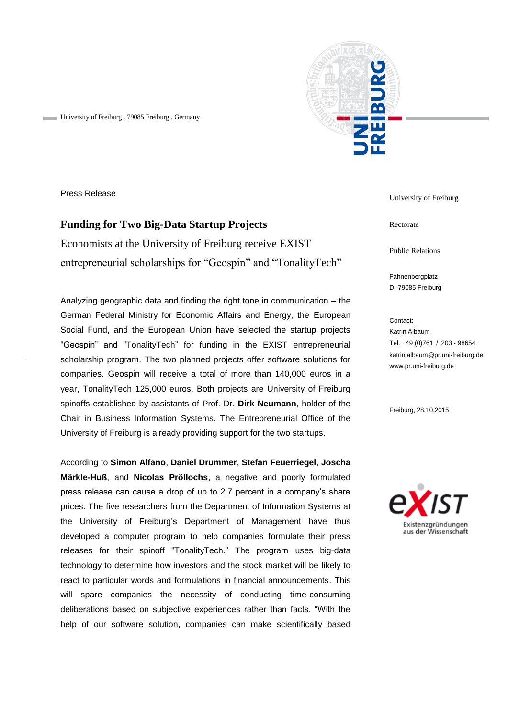University of Freiburg . 79085 Freiburg . Germany



Press Release

# **Funding for Two Big-Data Startup Projects**

Economists at the University of Freiburg receive EXIST entrepreneurial scholarships for "Geospin" and "TonalityTech"

Analyzing geographic data and finding the right tone in communication – the German Federal Ministry for Economic Affairs and Energy, the European Social Fund, and the European Union have selected the startup projects "Geospin" and "TonalityTech" for funding in the EXIST entrepreneurial scholarship program. The two planned projects offer software solutions for companies. Geospin will receive a total of more than 140,000 euros in a year, TonalityTech 125,000 euros. Both projects are University of Freiburg spinoffs established by assistants of Prof. Dr. **Dirk Neumann**, holder of the Chair in Business Information Systems. The Entrepreneurial Office of the University of Freiburg is already providing support for the two startups.

According to **Simon Alfano**, **Daniel Drummer**, **Stefan Feuerriegel**, **Joscha Märkle-Huß**, and **Nicolas Pröllochs**, a negative and poorly formulated press release can cause a drop of up to 2.7 percent in a company's share prices. The five researchers from the Department of Information Systems at the University of Freiburg's Department of Management have thus developed a computer program to help companies formulate their press releases for their spinoff "TonalityTech." The program uses big-data technology to determine how investors and the stock market will be likely to react to particular words and formulations in financial announcements. This will spare companies the necessity of conducting time-consuming deliberations based on subjective experiences rather than facts. "With the help of our software solution, companies can make scientifically based University of Freiburg

Rectorate

Public Relations

Fahnenbergplatz D -79085 Freiburg

Contact: Katrin Albaum Tel. +49 (0)761 / 203 - 98654 katrin.albaum@pr.uni-freiburg.de www.pr.uni-freiburg.de

Freiburg, 28.10.2015

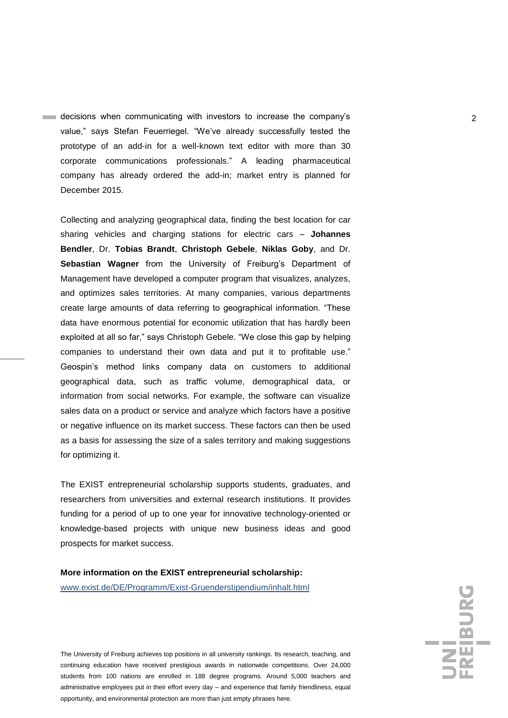decisions when communicating with investors to increase the company's 2 value," says Stefan Feuerriegel. "We've already successfully tested the prototype of an add-in for a well-known text editor with more than 30 corporate communications professionals." A leading pharmaceutical company has already ordered the add-in; market entry is planned for December 2015.

Collecting and analyzing geographical data, finding the best location for car sharing vehicles and charging stations for electric cars – **Johannes Bendler**, Dr. **Tobias Brandt**, **Christoph Gebele**, **Niklas Goby**, and Dr. **Sebastian Wagner** from the University of Freiburg's Department of Management have developed a computer program that visualizes, analyzes, and optimizes sales territories. At many companies, various departments create large amounts of data referring to geographical information. "These data have enormous potential for economic utilization that has hardly been exploited at all so far," says Christoph Gebele. "We close this gap by helping companies to understand their own data and put it to profitable use." Geospin's method links company data on customers to additional geographical data, such as traffic volume, demographical data, or information from social networks. For example, the software can visualize sales data on a product or service and analyze which factors have a positive or negative influence on its market success. These factors can then be used as a basis for assessing the size of a sales territory and making suggestions for optimizing it.

The EXIST entrepreneurial scholarship supports students, graduates, and researchers from universities and external research institutions. It provides funding for a period of up to one year for innovative technology-oriented or knowledge-based projects with unique new business ideas and good prospects for market success.

## **More information on the EXIST entrepreneurial scholarship:**

[www.exist.de/DE/Programm/Exist-Gruenderstipendium/inhalt.html](http://www.exist.de/DE/Programm/Exist-Gruenderstipendium/inhalt.html)

The University of Freiburg achieves top positions in all university rankings. Its research, teaching, and continuing education have received prestigious awards in nationwide competitions. Over 24,000 students from 100 nations are enrolled in 188 degree programs. Around 5,000 teachers and administrative employees put in their effort every day – and experience that family friendliness, equal opportunity, and environmental protection are more than just empty phrases here.